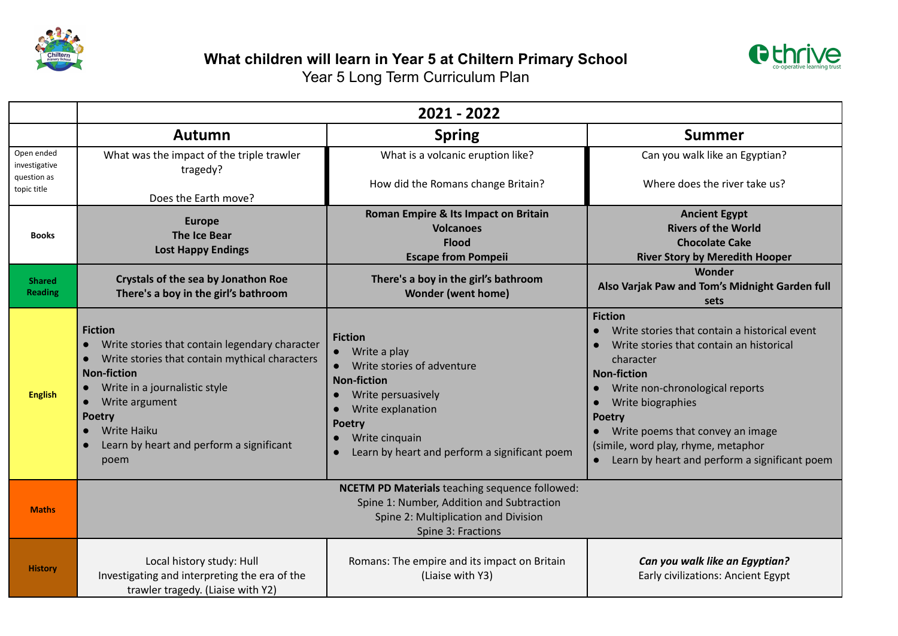



|                                                           | 2021 - 2022                                                                                                                                                                                                                                                                                         |                                                                                                                                                                                                                   |                                                                                                                                                                                                                                                                                                                                                                                                         |  |  |  |
|-----------------------------------------------------------|-----------------------------------------------------------------------------------------------------------------------------------------------------------------------------------------------------------------------------------------------------------------------------------------------------|-------------------------------------------------------------------------------------------------------------------------------------------------------------------------------------------------------------------|---------------------------------------------------------------------------------------------------------------------------------------------------------------------------------------------------------------------------------------------------------------------------------------------------------------------------------------------------------------------------------------------------------|--|--|--|
|                                                           | Autumn                                                                                                                                                                                                                                                                                              | <b>Spring</b>                                                                                                                                                                                                     | <b>Summer</b>                                                                                                                                                                                                                                                                                                                                                                                           |  |  |  |
| Open ended<br>investigative<br>question as<br>topic title | What was the impact of the triple trawler<br>tragedy?                                                                                                                                                                                                                                               | What is a volcanic eruption like?                                                                                                                                                                                 | Can you walk like an Egyptian?<br>Where does the river take us?                                                                                                                                                                                                                                                                                                                                         |  |  |  |
|                                                           | Does the Earth move?                                                                                                                                                                                                                                                                                | How did the Romans change Britain?                                                                                                                                                                                |                                                                                                                                                                                                                                                                                                                                                                                                         |  |  |  |
| <b>Books</b>                                              | <b>Europe</b><br><b>The Ice Bear</b><br><b>Lost Happy Endings</b>                                                                                                                                                                                                                                   | Roman Empire & Its Impact on Britain<br><b>Volcanoes</b><br><b>Flood</b><br><b>Escape from Pompeii</b>                                                                                                            | <b>Ancient Egypt</b><br><b>Rivers of the World</b><br><b>Chocolate Cake</b><br><b>River Story by Meredith Hooper</b>                                                                                                                                                                                                                                                                                    |  |  |  |
| <b>Shared</b><br><b>Reading</b>                           | <b>Crystals of the sea by Jonathon Roe</b><br>There's a boy in the girl's bathroom                                                                                                                                                                                                                  | There's a boy in the girl's bathroom<br><b>Wonder (went home)</b>                                                                                                                                                 | Wonder<br>Also Varjak Paw and Tom's Midnight Garden full<br>sets                                                                                                                                                                                                                                                                                                                                        |  |  |  |
| <b>English</b>                                            | <b>Fiction</b><br>Write stories that contain legendary character<br>Write stories that contain mythical characters<br><b>Non-fiction</b><br>Write in a journalistic style<br>Write argument<br>$\bullet$<br><b>Poetry</b><br><b>Write Haiku</b><br>Learn by heart and perform a significant<br>poem | <b>Fiction</b><br>Write a play<br>Write stories of adventure<br><b>Non-fiction</b><br>Write persuasively<br>Write explanation<br><b>Poetry</b><br>Write cinquain<br>Learn by heart and perform a significant poem | <b>Fiction</b><br>Write stories that contain a historical event<br>$\bullet$<br>Write stories that contain an historical<br>character<br><b>Non-fiction</b><br>Write non-chronological reports<br>$\bullet$<br>Write biographies<br>$\bullet$<br><b>Poetry</b><br>Write poems that convey an image<br>(simile, word play, rhyme, metaphor<br>Learn by heart and perform a significant poem<br>$\bullet$ |  |  |  |
| <b>Maths</b>                                              | NCETM PD Materials teaching sequence followed:<br>Spine 1: Number, Addition and Subtraction<br>Spine 2: Multiplication and Division<br>Spine 3: Fractions                                                                                                                                           |                                                                                                                                                                                                                   |                                                                                                                                                                                                                                                                                                                                                                                                         |  |  |  |
| <b>History</b>                                            | Local history study: Hull<br>Investigating and interpreting the era of the<br>trawler tragedy. (Liaise with Y2)                                                                                                                                                                                     | Romans: The empire and its impact on Britain<br>(Liaise with Y3)                                                                                                                                                  | Can you walk like an Egyptian?<br>Early civilizations: Ancient Egypt                                                                                                                                                                                                                                                                                                                                    |  |  |  |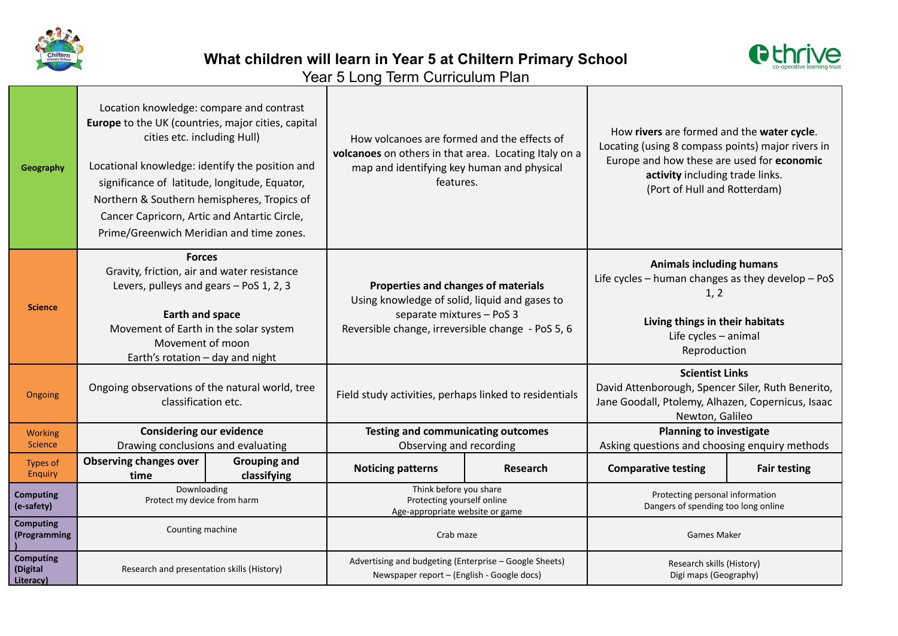



Year 5 Long Term Curriculum Plan

| Geography                                 | Location knowledge: compare and contrast<br>Europe to the UK (countries, major cities, capital<br>cities etc. including Hull)<br>Locational knowledge: identify the position and<br>significance of latitude, longitude, Equator,<br>Northern & Southern hemispheres, Tropics of<br>Cancer Capricorn, Artic and Antartic Circle,<br>Prime/Greenwich Meridian and time zones. |                                    | How volcanoes are formed and the effects of<br>volcanoes on others in that area. Locating Italy on a<br>map and identifying key human and physical<br>features.        |          | How rivers are formed and the water cycle.<br>Locating (using 8 compass points) major rivers in<br>Europe and how these are used for economic<br>activity including trade links.<br>(Port of Hull and Rotterdam) |                     |
|-------------------------------------------|------------------------------------------------------------------------------------------------------------------------------------------------------------------------------------------------------------------------------------------------------------------------------------------------------------------------------------------------------------------------------|------------------------------------|------------------------------------------------------------------------------------------------------------------------------------------------------------------------|----------|------------------------------------------------------------------------------------------------------------------------------------------------------------------------------------------------------------------|---------------------|
| <b>Science</b>                            | <b>Forces</b><br>Gravity, friction, air and water resistance<br>Levers, pulleys and gears - PoS 1, 2, 3<br><b>Earth and space</b><br>Movement of Earth in the solar system<br>Movement of moon<br>Earth's rotation $-$ day and night                                                                                                                                         |                                    | Properties and changes of materials<br>Using knowledge of solid, liquid and gases to<br>separate mixtures - PoS 3<br>Reversible change, irreversible change - PoS 5, 6 |          | <b>Animals including humans</b><br>Life cycles - human changes as they develop - PoS<br>1, 2<br>Living things in their habitats<br>Life cycles $-$ animal<br>Reproduction                                        |                     |
| Ongoing                                   | Ongoing observations of the natural world, tree<br>classification etc.                                                                                                                                                                                                                                                                                                       |                                    | Field study activities, perhaps linked to residentials                                                                                                                 |          | <b>Scientist Links</b><br>David Attenborough, Spencer Siler, Ruth Benerito,<br>Jane Goodall, Ptolemy, Alhazen, Copernicus, Isaac<br>Newton, Galileo                                                              |                     |
| <b>Working</b><br>Science                 | <b>Considering our evidence</b><br>Drawing conclusions and evaluating                                                                                                                                                                                                                                                                                                        |                                    | <b>Testing and communicating outcomes</b><br>Observing and recording                                                                                                   |          | <b>Planning to investigate</b><br>Asking questions and choosing enquiry methods                                                                                                                                  |                     |
| Types of<br><b>Enquiry</b>                | <b>Observing changes over</b><br>time                                                                                                                                                                                                                                                                                                                                        | <b>Grouping and</b><br>classifying | <b>Noticing patterns</b>                                                                                                                                               | Research | <b>Comparative testing</b>                                                                                                                                                                                       | <b>Fair testing</b> |
| <b>Computing</b><br>(e-safety)            | Downloading<br>Protect my device from harm                                                                                                                                                                                                                                                                                                                                   |                                    | Think before you share<br>Protecting yourself online<br>Age-appropriate website or game                                                                                |          | Protecting personal information<br>Dangers of spending too long online                                                                                                                                           |                     |
| <b>Computing</b><br>(Programming          | Counting machine                                                                                                                                                                                                                                                                                                                                                             |                                    | Crab maze                                                                                                                                                              |          | <b>Games Maker</b>                                                                                                                                                                                               |                     |
| <b>Computing</b><br>(Digital<br>Literacy) | Research and presentation skills (History)                                                                                                                                                                                                                                                                                                                                   |                                    | Advertising and budgeting (Enterprise - Google Sheets)<br>Newspaper report - (English - Google docs)                                                                   |          | Research skills (History)<br>Digi maps (Geography)                                                                                                                                                               |                     |